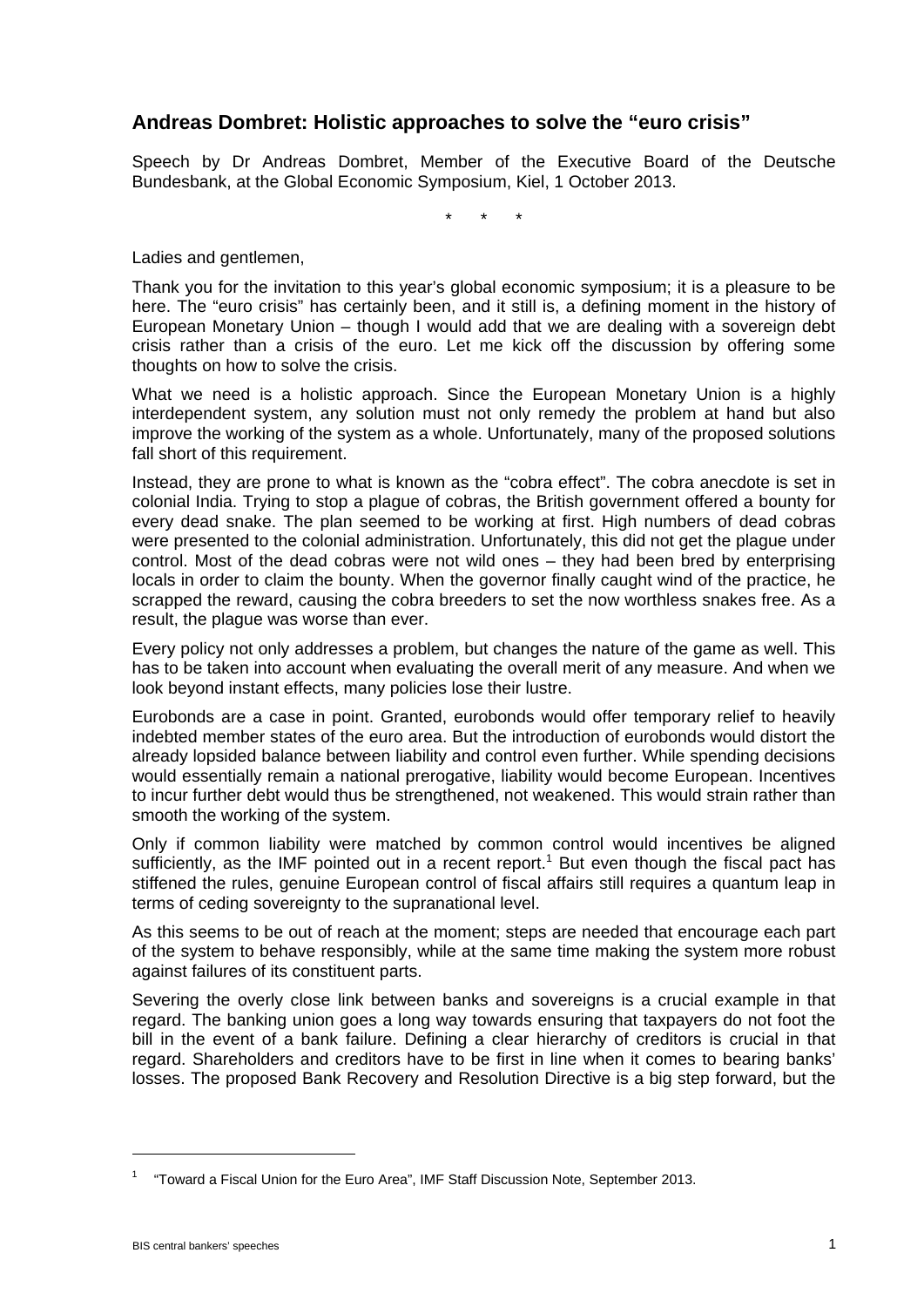## **Andreas Dombret: Holistic approaches to solve the "euro crisis"**

Speech by Dr Andreas Dombret, Member of the Executive Board of the Deutsche Bundesbank, at the Global Economic Symposium, Kiel, 1 October 2013.

\* \* \*

Ladies and gentlemen,

Thank you for the invitation to this year's global economic symposium; it is a pleasure to be here. The "euro crisis" has certainly been, and it still is, a defining moment in the history of European Monetary Union – though I would add that we are dealing with a sovereign debt crisis rather than a crisis of the euro. Let me kick off the discussion by offering some thoughts on how to solve the crisis.

What we need is a holistic approach. Since the European Monetary Union is a highly interdependent system, any solution must not only remedy the problem at hand but also improve the working of the system as a whole. Unfortunately, many of the proposed solutions fall short of this requirement.

Instead, they are prone to what is known as the "cobra effect". The cobra anecdote is set in colonial India. Trying to stop a plague of cobras, the British government offered a bounty for every dead snake. The plan seemed to be working at first. High numbers of dead cobras were presented to the colonial administration. Unfortunately, this did not get the plague under control. Most of the dead cobras were not wild ones – they had been bred by enterprising locals in order to claim the bounty. When the governor finally caught wind of the practice, he scrapped the reward, causing the cobra breeders to set the now worthless snakes free. As a result, the plague was worse than ever.

Every policy not only addresses a problem, but changes the nature of the game as well. This has to be taken into account when evaluating the overall merit of any measure. And when we look beyond instant effects, many policies lose their lustre.

Eurobonds are a case in point. Granted, eurobonds would offer temporary relief to heavily indebted member states of the euro area. But the introduction of eurobonds would distort the already lopsided balance between liability and control even further. While spending decisions would essentially remain a national prerogative, liability would become European. Incentives to incur further debt would thus be strengthened, not weakened. This would strain rather than smooth the working of the system.

Only if common liability were matched by common control would incentives be aligned sufficiently, as the IMF pointed out in a recent report.<sup>1</sup> But even though the fiscal pact has stiffened the rules, genuine European control of fiscal affairs still requires a quantum leap in terms of ceding sovereignty to the supranational level.

As this seems to be out of reach at the moment; steps are needed that encourage each part of the system to behave responsibly, while at the same time making the system more robust against failures of its constituent parts.

Severing the overly close link between banks and sovereigns is a crucial example in that regard. The banking union goes a long way towards ensuring that taxpayers do not foot the bill in the event of a bank failure. Defining a clear hierarchy of creditors is crucial in that regard. Shareholders and creditors have to be first in line when it comes to bearing banks' losses. The proposed Bank Recovery and Resolution Directive is a big step forward, but the

 $\overline{a}$ 

<sup>1</sup> "Toward a Fiscal Union for the Euro Area", IMF Staff Discussion Note, September 2013.